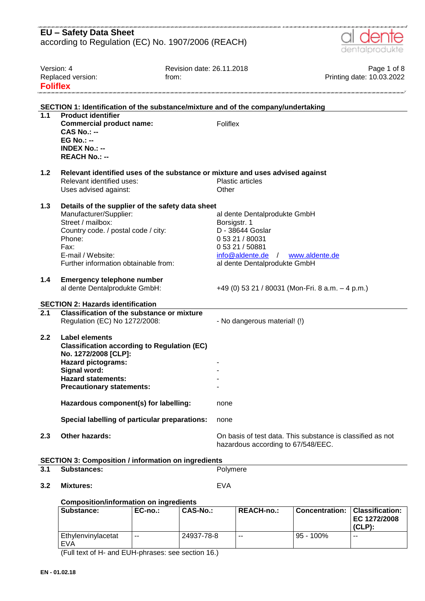| <b>EU - Safety Data Sheet</b><br>according to Regulation (EC) No. 1907/2006 (REACH)<br>dentalprodukte<br>Version: 4<br>Revision date: 26.11.2018<br>Page 1 of 8<br>Printing date: 10.03.2022<br>Replaced version:<br>from:<br><b>Foliflex</b><br>SECTION 1: Identification of the substance/mixture and of the company/undertaking<br>$\overline{1.1}$<br><b>Product identifier</b><br>Foliflex<br><b>Commercial product name:</b><br>$CAS No. : -$<br>$EG No.: -$<br><b>INDEX No.: --</b><br><b>REACH No.: --</b><br>1.2<br>Relevant identified uses of the substance or mixture and uses advised against<br>Relevant identified uses:<br><b>Plastic articles</b><br>Other<br>Uses advised against:<br>1.3<br>Details of the supplier of the safety data sheet<br>Manufacturer/Supplier:<br>al dente Dentalprodukte GmbH<br>Street / mailbox:<br>Borsigstr. 1<br>D - 38644 Goslar<br>Country code. / postal code / city:<br>Phone:<br>0 53 21 / 80031<br>0 53 21 / 50881<br>Fax:<br>E-mail / Website:<br>$info@aldente.de$ /<br>www.aldente.de<br>Further information obtainable from:<br>al dente Dentalprodukte GmbH<br>1.4<br><b>Emergency telephone number</b><br>+49 (0) 53 21 / 80031 (Mon-Fri. 8 a.m. $-$ 4 p.m.)<br>al dente Dentalprodukte GmbH:<br><b>SECTION 2: Hazards identification</b><br>$\overline{2.1}$<br><b>Classification of the substance or mixture</b><br>Regulation (EC) No 1272/2008:<br>- No dangerous material! (!)<br>Label elements<br>2.2<br><b>Classification according to Regulation (EC)</b><br>No. 1272/2008 [CLP]:<br><b>Hazard pictograms:</b><br>Signal word:<br><b>Hazard statements:</b><br><b>Precautionary statements:</b><br>Hazardous component(s) for labelling:<br>none<br>Special labelling of particular preparations:<br>none<br><b>Other hazards:</b><br>2.3<br>On basis of test data. This substance is classified as not<br>hazardous according to 67/548/EEC.<br><b>SECTION 3: Composition / information on ingredients</b><br>3.1<br><b>Substances:</b><br>Polymere |     |                  |            |  |  |  |
|----------------------------------------------------------------------------------------------------------------------------------------------------------------------------------------------------------------------------------------------------------------------------------------------------------------------------------------------------------------------------------------------------------------------------------------------------------------------------------------------------------------------------------------------------------------------------------------------------------------------------------------------------------------------------------------------------------------------------------------------------------------------------------------------------------------------------------------------------------------------------------------------------------------------------------------------------------------------------------------------------------------------------------------------------------------------------------------------------------------------------------------------------------------------------------------------------------------------------------------------------------------------------------------------------------------------------------------------------------------------------------------------------------------------------------------------------------------------------------------------------------------------------------------------------------------------------------------------------------------------------------------------------------------------------------------------------------------------------------------------------------------------------------------------------------------------------------------------------------------------------------------------------------------------------------------------------------------------------------------------------------------------------|-----|------------------|------------|--|--|--|
|                                                                                                                                                                                                                                                                                                                                                                                                                                                                                                                                                                                                                                                                                                                                                                                                                                                                                                                                                                                                                                                                                                                                                                                                                                                                                                                                                                                                                                                                                                                                                                                                                                                                                                                                                                                                                                                                                                                                                                                                                            |     |                  |            |  |  |  |
|                                                                                                                                                                                                                                                                                                                                                                                                                                                                                                                                                                                                                                                                                                                                                                                                                                                                                                                                                                                                                                                                                                                                                                                                                                                                                                                                                                                                                                                                                                                                                                                                                                                                                                                                                                                                                                                                                                                                                                                                                            |     |                  |            |  |  |  |
|                                                                                                                                                                                                                                                                                                                                                                                                                                                                                                                                                                                                                                                                                                                                                                                                                                                                                                                                                                                                                                                                                                                                                                                                                                                                                                                                                                                                                                                                                                                                                                                                                                                                                                                                                                                                                                                                                                                                                                                                                            |     |                  |            |  |  |  |
|                                                                                                                                                                                                                                                                                                                                                                                                                                                                                                                                                                                                                                                                                                                                                                                                                                                                                                                                                                                                                                                                                                                                                                                                                                                                                                                                                                                                                                                                                                                                                                                                                                                                                                                                                                                                                                                                                                                                                                                                                            |     |                  |            |  |  |  |
|                                                                                                                                                                                                                                                                                                                                                                                                                                                                                                                                                                                                                                                                                                                                                                                                                                                                                                                                                                                                                                                                                                                                                                                                                                                                                                                                                                                                                                                                                                                                                                                                                                                                                                                                                                                                                                                                                                                                                                                                                            |     |                  |            |  |  |  |
|                                                                                                                                                                                                                                                                                                                                                                                                                                                                                                                                                                                                                                                                                                                                                                                                                                                                                                                                                                                                                                                                                                                                                                                                                                                                                                                                                                                                                                                                                                                                                                                                                                                                                                                                                                                                                                                                                                                                                                                                                            |     |                  |            |  |  |  |
|                                                                                                                                                                                                                                                                                                                                                                                                                                                                                                                                                                                                                                                                                                                                                                                                                                                                                                                                                                                                                                                                                                                                                                                                                                                                                                                                                                                                                                                                                                                                                                                                                                                                                                                                                                                                                                                                                                                                                                                                                            |     |                  |            |  |  |  |
|                                                                                                                                                                                                                                                                                                                                                                                                                                                                                                                                                                                                                                                                                                                                                                                                                                                                                                                                                                                                                                                                                                                                                                                                                                                                                                                                                                                                                                                                                                                                                                                                                                                                                                                                                                                                                                                                                                                                                                                                                            |     |                  |            |  |  |  |
|                                                                                                                                                                                                                                                                                                                                                                                                                                                                                                                                                                                                                                                                                                                                                                                                                                                                                                                                                                                                                                                                                                                                                                                                                                                                                                                                                                                                                                                                                                                                                                                                                                                                                                                                                                                                                                                                                                                                                                                                                            |     |                  |            |  |  |  |
|                                                                                                                                                                                                                                                                                                                                                                                                                                                                                                                                                                                                                                                                                                                                                                                                                                                                                                                                                                                                                                                                                                                                                                                                                                                                                                                                                                                                                                                                                                                                                                                                                                                                                                                                                                                                                                                                                                                                                                                                                            |     |                  |            |  |  |  |
|                                                                                                                                                                                                                                                                                                                                                                                                                                                                                                                                                                                                                                                                                                                                                                                                                                                                                                                                                                                                                                                                                                                                                                                                                                                                                                                                                                                                                                                                                                                                                                                                                                                                                                                                                                                                                                                                                                                                                                                                                            |     |                  |            |  |  |  |
|                                                                                                                                                                                                                                                                                                                                                                                                                                                                                                                                                                                                                                                                                                                                                                                                                                                                                                                                                                                                                                                                                                                                                                                                                                                                                                                                                                                                                                                                                                                                                                                                                                                                                                                                                                                                                                                                                                                                                                                                                            |     |                  |            |  |  |  |
|                                                                                                                                                                                                                                                                                                                                                                                                                                                                                                                                                                                                                                                                                                                                                                                                                                                                                                                                                                                                                                                                                                                                                                                                                                                                                                                                                                                                                                                                                                                                                                                                                                                                                                                                                                                                                                                                                                                                                                                                                            |     |                  |            |  |  |  |
|                                                                                                                                                                                                                                                                                                                                                                                                                                                                                                                                                                                                                                                                                                                                                                                                                                                                                                                                                                                                                                                                                                                                                                                                                                                                                                                                                                                                                                                                                                                                                                                                                                                                                                                                                                                                                                                                                                                                                                                                                            |     |                  |            |  |  |  |
|                                                                                                                                                                                                                                                                                                                                                                                                                                                                                                                                                                                                                                                                                                                                                                                                                                                                                                                                                                                                                                                                                                                                                                                                                                                                                                                                                                                                                                                                                                                                                                                                                                                                                                                                                                                                                                                                                                                                                                                                                            |     |                  |            |  |  |  |
|                                                                                                                                                                                                                                                                                                                                                                                                                                                                                                                                                                                                                                                                                                                                                                                                                                                                                                                                                                                                                                                                                                                                                                                                                                                                                                                                                                                                                                                                                                                                                                                                                                                                                                                                                                                                                                                                                                                                                                                                                            |     |                  |            |  |  |  |
|                                                                                                                                                                                                                                                                                                                                                                                                                                                                                                                                                                                                                                                                                                                                                                                                                                                                                                                                                                                                                                                                                                                                                                                                                                                                                                                                                                                                                                                                                                                                                                                                                                                                                                                                                                                                                                                                                                                                                                                                                            |     |                  |            |  |  |  |
|                                                                                                                                                                                                                                                                                                                                                                                                                                                                                                                                                                                                                                                                                                                                                                                                                                                                                                                                                                                                                                                                                                                                                                                                                                                                                                                                                                                                                                                                                                                                                                                                                                                                                                                                                                                                                                                                                                                                                                                                                            |     |                  |            |  |  |  |
|                                                                                                                                                                                                                                                                                                                                                                                                                                                                                                                                                                                                                                                                                                                                                                                                                                                                                                                                                                                                                                                                                                                                                                                                                                                                                                                                                                                                                                                                                                                                                                                                                                                                                                                                                                                                                                                                                                                                                                                                                            |     |                  |            |  |  |  |
|                                                                                                                                                                                                                                                                                                                                                                                                                                                                                                                                                                                                                                                                                                                                                                                                                                                                                                                                                                                                                                                                                                                                                                                                                                                                                                                                                                                                                                                                                                                                                                                                                                                                                                                                                                                                                                                                                                                                                                                                                            |     |                  |            |  |  |  |
|                                                                                                                                                                                                                                                                                                                                                                                                                                                                                                                                                                                                                                                                                                                                                                                                                                                                                                                                                                                                                                                                                                                                                                                                                                                                                                                                                                                                                                                                                                                                                                                                                                                                                                                                                                                                                                                                                                                                                                                                                            |     |                  |            |  |  |  |
|                                                                                                                                                                                                                                                                                                                                                                                                                                                                                                                                                                                                                                                                                                                                                                                                                                                                                                                                                                                                                                                                                                                                                                                                                                                                                                                                                                                                                                                                                                                                                                                                                                                                                                                                                                                                                                                                                                                                                                                                                            |     |                  |            |  |  |  |
|                                                                                                                                                                                                                                                                                                                                                                                                                                                                                                                                                                                                                                                                                                                                                                                                                                                                                                                                                                                                                                                                                                                                                                                                                                                                                                                                                                                                                                                                                                                                                                                                                                                                                                                                                                                                                                                                                                                                                                                                                            |     |                  |            |  |  |  |
|                                                                                                                                                                                                                                                                                                                                                                                                                                                                                                                                                                                                                                                                                                                                                                                                                                                                                                                                                                                                                                                                                                                                                                                                                                                                                                                                                                                                                                                                                                                                                                                                                                                                                                                                                                                                                                                                                                                                                                                                                            |     |                  |            |  |  |  |
|                                                                                                                                                                                                                                                                                                                                                                                                                                                                                                                                                                                                                                                                                                                                                                                                                                                                                                                                                                                                                                                                                                                                                                                                                                                                                                                                                                                                                                                                                                                                                                                                                                                                                                                                                                                                                                                                                                                                                                                                                            |     |                  |            |  |  |  |
|                                                                                                                                                                                                                                                                                                                                                                                                                                                                                                                                                                                                                                                                                                                                                                                                                                                                                                                                                                                                                                                                                                                                                                                                                                                                                                                                                                                                                                                                                                                                                                                                                                                                                                                                                                                                                                                                                                                                                                                                                            |     |                  |            |  |  |  |
|                                                                                                                                                                                                                                                                                                                                                                                                                                                                                                                                                                                                                                                                                                                                                                                                                                                                                                                                                                                                                                                                                                                                                                                                                                                                                                                                                                                                                                                                                                                                                                                                                                                                                                                                                                                                                                                                                                                                                                                                                            |     |                  |            |  |  |  |
|                                                                                                                                                                                                                                                                                                                                                                                                                                                                                                                                                                                                                                                                                                                                                                                                                                                                                                                                                                                                                                                                                                                                                                                                                                                                                                                                                                                                                                                                                                                                                                                                                                                                                                                                                                                                                                                                                                                                                                                                                            |     |                  |            |  |  |  |
|                                                                                                                                                                                                                                                                                                                                                                                                                                                                                                                                                                                                                                                                                                                                                                                                                                                                                                                                                                                                                                                                                                                                                                                                                                                                                                                                                                                                                                                                                                                                                                                                                                                                                                                                                                                                                                                                                                                                                                                                                            |     |                  |            |  |  |  |
|                                                                                                                                                                                                                                                                                                                                                                                                                                                                                                                                                                                                                                                                                                                                                                                                                                                                                                                                                                                                                                                                                                                                                                                                                                                                                                                                                                                                                                                                                                                                                                                                                                                                                                                                                                                                                                                                                                                                                                                                                            |     |                  |            |  |  |  |
|                                                                                                                                                                                                                                                                                                                                                                                                                                                                                                                                                                                                                                                                                                                                                                                                                                                                                                                                                                                                                                                                                                                                                                                                                                                                                                                                                                                                                                                                                                                                                                                                                                                                                                                                                                                                                                                                                                                                                                                                                            |     |                  |            |  |  |  |
|                                                                                                                                                                                                                                                                                                                                                                                                                                                                                                                                                                                                                                                                                                                                                                                                                                                                                                                                                                                                                                                                                                                                                                                                                                                                                                                                                                                                                                                                                                                                                                                                                                                                                                                                                                                                                                                                                                                                                                                                                            |     |                  |            |  |  |  |
|                                                                                                                                                                                                                                                                                                                                                                                                                                                                                                                                                                                                                                                                                                                                                                                                                                                                                                                                                                                                                                                                                                                                                                                                                                                                                                                                                                                                                                                                                                                                                                                                                                                                                                                                                                                                                                                                                                                                                                                                                            |     |                  |            |  |  |  |
|                                                                                                                                                                                                                                                                                                                                                                                                                                                                                                                                                                                                                                                                                                                                                                                                                                                                                                                                                                                                                                                                                                                                                                                                                                                                                                                                                                                                                                                                                                                                                                                                                                                                                                                                                                                                                                                                                                                                                                                                                            |     |                  |            |  |  |  |
|                                                                                                                                                                                                                                                                                                                                                                                                                                                                                                                                                                                                                                                                                                                                                                                                                                                                                                                                                                                                                                                                                                                                                                                                                                                                                                                                                                                                                                                                                                                                                                                                                                                                                                                                                                                                                                                                                                                                                                                                                            |     |                  |            |  |  |  |
|                                                                                                                                                                                                                                                                                                                                                                                                                                                                                                                                                                                                                                                                                                                                                                                                                                                                                                                                                                                                                                                                                                                                                                                                                                                                                                                                                                                                                                                                                                                                                                                                                                                                                                                                                                                                                                                                                                                                                                                                                            |     |                  |            |  |  |  |
|                                                                                                                                                                                                                                                                                                                                                                                                                                                                                                                                                                                                                                                                                                                                                                                                                                                                                                                                                                                                                                                                                                                                                                                                                                                                                                                                                                                                                                                                                                                                                                                                                                                                                                                                                                                                                                                                                                                                                                                                                            |     |                  |            |  |  |  |
|                                                                                                                                                                                                                                                                                                                                                                                                                                                                                                                                                                                                                                                                                                                                                                                                                                                                                                                                                                                                                                                                                                                                                                                                                                                                                                                                                                                                                                                                                                                                                                                                                                                                                                                                                                                                                                                                                                                                                                                                                            |     |                  |            |  |  |  |
|                                                                                                                                                                                                                                                                                                                                                                                                                                                                                                                                                                                                                                                                                                                                                                                                                                                                                                                                                                                                                                                                                                                                                                                                                                                                                                                                                                                                                                                                                                                                                                                                                                                                                                                                                                                                                                                                                                                                                                                                                            |     |                  |            |  |  |  |
|                                                                                                                                                                                                                                                                                                                                                                                                                                                                                                                                                                                                                                                                                                                                                                                                                                                                                                                                                                                                                                                                                                                                                                                                                                                                                                                                                                                                                                                                                                                                                                                                                                                                                                                                                                                                                                                                                                                                                                                                                            |     |                  |            |  |  |  |
|                                                                                                                                                                                                                                                                                                                                                                                                                                                                                                                                                                                                                                                                                                                                                                                                                                                                                                                                                                                                                                                                                                                                                                                                                                                                                                                                                                                                                                                                                                                                                                                                                                                                                                                                                                                                                                                                                                                                                                                                                            |     |                  |            |  |  |  |
|                                                                                                                                                                                                                                                                                                                                                                                                                                                                                                                                                                                                                                                                                                                                                                                                                                                                                                                                                                                                                                                                                                                                                                                                                                                                                                                                                                                                                                                                                                                                                                                                                                                                                                                                                                                                                                                                                                                                                                                                                            | 3.2 | <b>Mixtures:</b> | <b>EVA</b> |  |  |  |

**Composition/information on ingredients**

| Substance:                | $EC-no.$ | <b>CAS-No.:</b> | <b>REACH-no.:</b> | Concentration: Classification: | EC 1272/2008<br>$(CLP)$ : |
|---------------------------|----------|-----------------|-------------------|--------------------------------|---------------------------|
| Ethylenvinylacetat<br>EVA | $- -$    | 24937-78-8      | $- -$             | $95 - 100\%$                   | --                        |

(Full text of H- and EUH-phrases: see section 16.)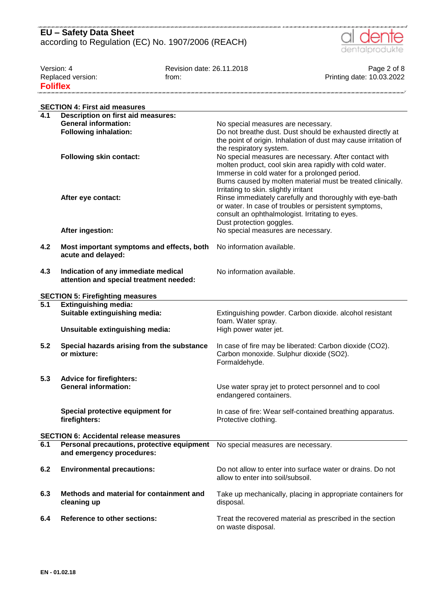

| Version: 4        | Revision date: 26.11.2018 | Page 2 of 8               |
|-------------------|---------------------------|---------------------------|
| Replaced version: | trom:                     | Printing date: 10.03.2022 |
| <b>Foliflex</b>   |                           |                           |

|     | <b>SECTION 4: First aid measures</b>                                           |                                                                 |
|-----|--------------------------------------------------------------------------------|-----------------------------------------------------------------|
| 4.1 | <b>Description on first aid measures:</b>                                      |                                                                 |
|     | <b>General information:</b>                                                    | No special measures are necessary.                              |
|     | <b>Following inhalation:</b>                                                   | Do not breathe dust. Dust should be exhausted directly at       |
|     |                                                                                | the point of origin. Inhalation of dust may cause irritation of |
|     |                                                                                | the respiratory system.                                         |
|     | <b>Following skin contact:</b>                                                 | No special measures are necessary. After contact with           |
|     |                                                                                | molten product, cool skin area rapidly with cold water.         |
|     |                                                                                | Immerse in cold water for a prolonged period.                   |
|     |                                                                                | Burns caused by molten material must be treated clinically.     |
|     |                                                                                | Irritating to skin. slightly irritant                           |
|     | After eye contact:                                                             | Rinse immediately carefully and thoroughly with eye-bath        |
|     |                                                                                | or water. In case of troubles or persistent symptoms,           |
|     |                                                                                | consult an ophthalmologist. Irritating to eyes.                 |
|     |                                                                                | Dust protection goggles.                                        |
|     | After ingestion:                                                               | No special measures are necessary.                              |
|     |                                                                                |                                                                 |
| 4.2 | Most important symptoms and effects, both                                      | No information available.                                       |
|     | acute and delayed:                                                             |                                                                 |
|     |                                                                                |                                                                 |
| 4.3 | Indication of any immediate medical<br>attention and special treatment needed: | No information available.                                       |
|     |                                                                                |                                                                 |
|     | <b>SECTION 5: Firefighting measures</b>                                        |                                                                 |
| 5.1 | <b>Extinguishing media:</b>                                                    |                                                                 |
|     | Suitable extinguishing media:                                                  | Extinguishing powder. Carbon dioxide. alcohol resistant         |
|     |                                                                                | foam. Water spray.                                              |
|     | Unsuitable extinguishing media:                                                | High power water jet.                                           |
|     |                                                                                |                                                                 |
| 5.2 | Special hazards arising from the substance                                     | In case of fire may be liberated: Carbon dioxide (CO2).         |
|     | or mixture:                                                                    | Carbon monoxide. Sulphur dioxide (SO2).                         |
|     |                                                                                | Formaldehyde.                                                   |
|     |                                                                                |                                                                 |
| 5.3 | <b>Advice for firefighters:</b>                                                |                                                                 |
|     | <b>General information:</b>                                                    | Use water spray jet to protect personnel and to cool            |
|     |                                                                                | endangered containers.                                          |
|     | Special protective equipment for                                               | In case of fire: Wear self-contained breathing apparatus.       |
|     | firefighters:                                                                  | Protective clothing.                                            |
|     |                                                                                |                                                                 |
|     | <b>SECTION 6: Accidental release measures</b>                                  |                                                                 |
| 6.1 | Personal precautions, protective equipment                                     | No special measures are necessary.                              |
|     | and emergency procedures:                                                      |                                                                 |
|     |                                                                                |                                                                 |
| 6.2 | <b>Environmental precautions:</b>                                              | Do not allow to enter into surface water or drains. Do not      |
|     |                                                                                | allow to enter into soil/subsoil.                               |
|     |                                                                                |                                                                 |
| 6.3 | Methods and material for containment and                                       | Take up mechanically, placing in appropriate containers for     |
|     | cleaning up                                                                    | disposal.                                                       |
|     |                                                                                |                                                                 |
| 6.4 | <b>Reference to other sections:</b>                                            | Treat the recovered material as prescribed in the section       |
|     |                                                                                | on waste disposal.                                              |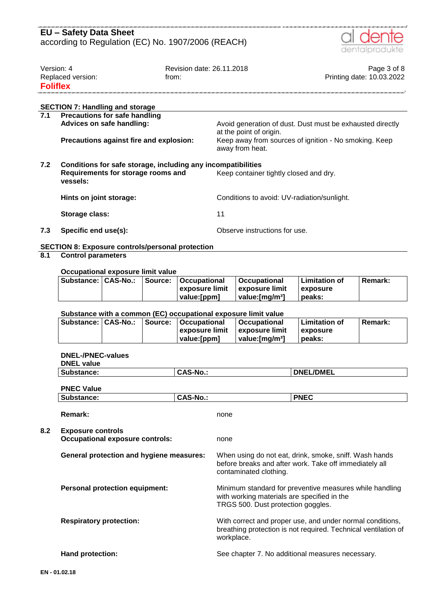

| Version: 4        | Revision date: 26.11.2018 | Page 3 of 8               |
|-------------------|---------------------------|---------------------------|
| Replaced version: | trom:                     | Printing date: 10.03.2022 |
| <b>Foliflex</b>   |                           |                           |
|                   |                           |                           |
|                   |                           |                           |

### **SECTION 7: Handling and storage**

| 7.1 | <b>Precautions for safe handling</b><br>Advices on safe handling: | Avoid generation of dust. Dust must be exhausted directly                                           |  |  |  |  |
|-----|-------------------------------------------------------------------|-----------------------------------------------------------------------------------------------------|--|--|--|--|
|     | Precautions against fire and explosion:                           | at the point of origin.<br>Keep away from sources of ignition - No smoking. Keep<br>away from heat. |  |  |  |  |
| 7.2 | Conditions for safe storage, including any incompatibilities      |                                                                                                     |  |  |  |  |
|     | Requirements for storage rooms and<br>vessels:                    | Keep container tightly closed and dry.                                                              |  |  |  |  |
|     | Hints on joint storage:                                           | Conditions to avoid: UV-radiation/sunlight.                                                         |  |  |  |  |
|     | Storage class:                                                    | 11                                                                                                  |  |  |  |  |
| 7.3 | Specific end use(s):                                              | Observe instructions for use.                                                                       |  |  |  |  |

### **SECTION 8: Exposure controls/personal protection**

### **8.1 Control parameters**

#### **Occupational exposure limit value**

|  | Substance:   CAS-No.:   Source:   Occupational | <b>∣Occupational</b>              | l Limitation of  | Remark: |
|--|------------------------------------------------|-----------------------------------|------------------|---------|
|  | ∣exposure limit ∣exposure limit                |                                   | <b>Lexposure</b> |         |
|  | value: [ppm]                                   | $\blacksquare$ value: [mɑ/m $3$ ] | peaks:           |         |

#### **Substance with a common (EC) occupational exposure limit value**

|  |  |  | Substance:   CAS-No.:   Source:   Occupational | <b>∣Occupational</b> | l Limitation of  | Remark: |  |
|--|--|--|------------------------------------------------|----------------------|------------------|---------|--|
|  |  |  | l exposure limit                               | ⊟exposure limit      | <b>Lexposure</b> |         |  |
|  |  |  | value: [ppm]                                   | ∣ value:ſmɑ/mªl      | peaks:           |         |  |

#### **DNEL-/PNEC-values**

| <b>DNEL value</b>                                                  |                 |                                                                                                                                              |
|--------------------------------------------------------------------|-----------------|----------------------------------------------------------------------------------------------------------------------------------------------|
| Substance:                                                         | <b>CAS-No.:</b> | <b>DNEL/DMEL</b>                                                                                                                             |
| <b>PNEC Value</b>                                                  |                 |                                                                                                                                              |
| Substance:                                                         | <b>CAS-No.:</b> | <b>PNEC</b>                                                                                                                                  |
| <b>Remark:</b>                                                     |                 | none                                                                                                                                         |
| <b>Exposure controls</b><br><b>Occupational exposure controls:</b> |                 | none                                                                                                                                         |
| <b>General protection and hygiene measures:</b>                    |                 | When using do not eat, drink, smoke, sniff. Wash hands<br>before breaks and after work. Take off immediately all<br>contaminated clothing.   |
| <b>Personal protection equipment:</b>                              |                 | Minimum standard for preventive measures while handling<br>with working materials are specified in the<br>TRGS 500. Dust protection goggles. |
| <b>Respiratory protection:</b>                                     |                 | With correct and proper use, and under normal conditions,<br>breathing protection is not required. Technical ventilation of<br>workplace.    |
| Hand protection:                                                   |                 | See chapter 7. No additional measures necessary.                                                                                             |
| 01.02.18                                                           |                 |                                                                                                                                              |

**8.2 Exposure controls**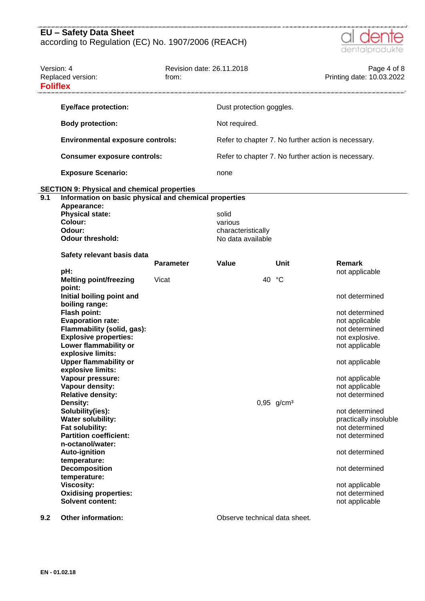

| Version: 4<br>Replaced version:<br><b>Foliflex</b> |                                                                                                                                                                                                                                                                                                                                                 | Revision date: 26.11.2018<br>from: |                                        |    |                          | Page 4 of 8<br>Printing date: 10.03.2022                                                                                                                                                           |
|----------------------------------------------------|-------------------------------------------------------------------------------------------------------------------------------------------------------------------------------------------------------------------------------------------------------------------------------------------------------------------------------------------------|------------------------------------|----------------------------------------|----|--------------------------|----------------------------------------------------------------------------------------------------------------------------------------------------------------------------------------------------|
|                                                    | <b>Eye/face protection:</b>                                                                                                                                                                                                                                                                                                                     |                                    | Dust protection goggles.               |    |                          |                                                                                                                                                                                                    |
|                                                    | <b>Body protection:</b>                                                                                                                                                                                                                                                                                                                         |                                    | Not required.                          |    |                          |                                                                                                                                                                                                    |
|                                                    | <b>Environmental exposure controls:</b>                                                                                                                                                                                                                                                                                                         |                                    |                                        |    |                          | Refer to chapter 7. No further action is necessary.                                                                                                                                                |
|                                                    | <b>Consumer exposure controls:</b>                                                                                                                                                                                                                                                                                                              |                                    |                                        |    |                          | Refer to chapter 7. No further action is necessary.                                                                                                                                                |
|                                                    | <b>Exposure Scenario:</b>                                                                                                                                                                                                                                                                                                                       |                                    | none                                   |    |                          |                                                                                                                                                                                                    |
|                                                    | <b>SECTION 9: Physical and chemical properties</b>                                                                                                                                                                                                                                                                                              |                                    |                                        |    |                          |                                                                                                                                                                                                    |
| $\overline{9.1}$<br>Colour:<br>Odour:              | Information on basic physical and chemical properties<br>Appearance:<br><b>Physical state:</b>                                                                                                                                                                                                                                                  |                                    | solid<br>various<br>characteristically |    |                          |                                                                                                                                                                                                    |
|                                                    | <b>Odour threshold:</b>                                                                                                                                                                                                                                                                                                                         |                                    | No data available                      |    |                          |                                                                                                                                                                                                    |
|                                                    | Safety relevant basis data                                                                                                                                                                                                                                                                                                                      | <b>Parameter</b>                   | Value                                  |    | Unit                     | Remark                                                                                                                                                                                             |
| pH:<br>point:                                      | <b>Melting point/freezing</b>                                                                                                                                                                                                                                                                                                                   | Vicat                              |                                        | 40 | °C                       | not applicable                                                                                                                                                                                     |
| Density:                                           | Initial boiling point and<br>boiling range:<br>Flash point:<br><b>Evaporation rate:</b><br>Flammability (solid, gas):<br><b>Explosive properties:</b><br>Lower flammability or<br>explosive limits:<br><b>Upper flammability or</b><br>explosive limits:<br>Vapour pressure:<br>Vapour density:<br><b>Relative density:</b><br>Solubility(ies): |                                    |                                        |    | $0,95$ g/cm <sup>3</sup> | not determined<br>not determined<br>not applicable<br>not determined<br>not explosive.<br>not applicable<br>not applicable<br>not applicable<br>not applicable<br>not determined<br>not determined |
| <b>Viscosity:</b>                                  | <b>Water solubility:</b><br>Fat solubility:<br><b>Partition coefficient:</b><br>n-octanol/water:<br><b>Auto-ignition</b><br>temperature:<br><b>Decomposition</b><br>temperature:<br><b>Oxidising properties:</b><br><b>Solvent content:</b>                                                                                                     |                                    |                                        |    |                          | practically insoluble<br>not determined<br>not determined<br>not determined<br>not determined<br>not applicable<br>not determined<br>not applicable                                                |

**9.2 Other information: Observe technical data sheet.**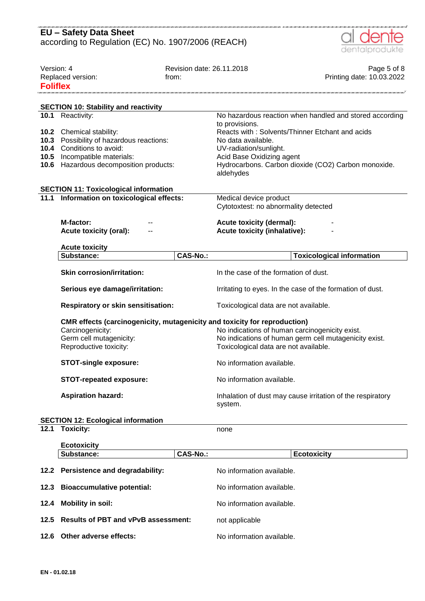|                               | <b>EU - Safety Data Sheet</b><br>according to Regulation (EC) No. 1907/2006 (REACH)                                                                     |                                    | dentalprodukte                                                                                                                                                                                                     |
|-------------------------------|---------------------------------------------------------------------------------------------------------------------------------------------------------|------------------------------------|--------------------------------------------------------------------------------------------------------------------------------------------------------------------------------------------------------------------|
| Version: 4<br><b>Foliflex</b> | Replaced version:                                                                                                                                       | Revision date: 26.11.2018<br>from: | Page 5 of 8<br>Printing date: 10.03.2022                                                                                                                                                                           |
|                               | <b>SECTION 10: Stability and reactivity</b>                                                                                                             |                                    |                                                                                                                                                                                                                    |
|                               | 10.1 Reactivity:                                                                                                                                        |                                    | No hazardous reaction when handled and stored according                                                                                                                                                            |
| 10.3<br>10.4<br>10.5<br>10.6  | 10.2 Chemical stability:<br>Possibility of hazardous reactions:<br>Conditions to avoid:<br>Incompatible materials:<br>Hazardous decomposition products: |                                    | to provisions.<br>Reacts with: Solvents/Thinner Etchant and acids<br>No data available.<br>UV-radiation/sunlight.<br>Acid Base Oxidizing agent<br>Hydrocarbons. Carbon dioxide (CO2) Carbon monoxide.<br>aldehydes |
|                               | <b>SECTION 11: Toxicological information</b>                                                                                                            |                                    |                                                                                                                                                                                                                    |
| 11.1                          | Information on toxicological effects:                                                                                                                   |                                    | Medical device product<br>Cytotoxtest: no abnormality detected                                                                                                                                                     |
|                               | M-factor:<br><b>Acute toxicity (oral):</b>                                                                                                              |                                    | <b>Acute toxicity (dermal):</b><br><b>Acute toxicity (inhalative):</b>                                                                                                                                             |
|                               | <b>Acute toxicity</b>                                                                                                                                   |                                    |                                                                                                                                                                                                                    |
|                               | Substance:                                                                                                                                              | <b>CAS-No.:</b>                    | <b>Toxicological information</b>                                                                                                                                                                                   |
|                               | <b>Skin corrosion/irritation:</b>                                                                                                                       |                                    | In the case of the formation of dust.                                                                                                                                                                              |
|                               |                                                                                                                                                         |                                    |                                                                                                                                                                                                                    |
|                               | Serious eye damage/irritation:                                                                                                                          |                                    | Irritating to eyes. In the case of the formation of dust.                                                                                                                                                          |
|                               | <b>Respiratory or skin sensitisation:</b>                                                                                                               |                                    | Toxicological data are not available.                                                                                                                                                                              |
|                               | CMR effects (carcinogenicity, mutagenicity and toxicity for reproduction)<br>Carcinogenicity:<br>Germ cell mutagenicity:<br>Reproductive toxicity:      |                                    | No indications of human carcinogenicity exist.<br>No indications of human germ cell mutagenicity exist.<br>Toxicological data are not available.                                                                   |
|                               | <b>STOT-single exposure:</b>                                                                                                                            |                                    | No information available.                                                                                                                                                                                          |
|                               | <b>STOT-repeated exposure:</b>                                                                                                                          |                                    | No information available.                                                                                                                                                                                          |
|                               | <b>Aspiration hazard:</b>                                                                                                                               |                                    | Inhalation of dust may cause irritation of the respiratory<br>system.                                                                                                                                              |
|                               |                                                                                                                                                         |                                    |                                                                                                                                                                                                                    |
| 12.1                          | <b>SECTION 12: Ecological information</b><br><b>Toxicity:</b>                                                                                           |                                    | none                                                                                                                                                                                                               |
|                               | <b>Ecotoxicity</b>                                                                                                                                      |                                    |                                                                                                                                                                                                                    |
|                               | Substance:                                                                                                                                              | <b>CAS-No.:</b>                    | <b>Ecotoxicity</b>                                                                                                                                                                                                 |
| 12.2                          | Persistence and degradability:                                                                                                                          |                                    | No information available.                                                                                                                                                                                          |
| 12.3                          | <b>Bioaccumulative potential:</b>                                                                                                                       |                                    | No information available.                                                                                                                                                                                          |

- **12.5 Results of PBT and vPvB assessment:** not applicable
- **12.6 Other adverse effects:** No information available.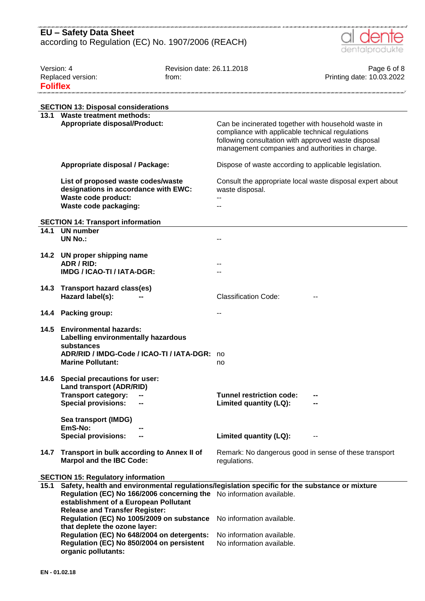

| Version: 4<br>Replaced version:<br><b>Foliflex</b> |                                                                                                                                                                                                                 | Revision date: 26.11.2018<br>from: |                                                                                                         | Page 6 of 8<br>Printing date: 10.03.2022 |
|----------------------------------------------------|-----------------------------------------------------------------------------------------------------------------------------------------------------------------------------------------------------------------|------------------------------------|---------------------------------------------------------------------------------------------------------|------------------------------------------|
|                                                    |                                                                                                                                                                                                                 |                                    |                                                                                                         |                                          |
|                                                    | <b>SECTION 13: Disposal considerations</b><br>13.1 Waste treatment methods:<br><b>Appropriate disposal/Product:</b>                                                                                             |                                    | Can be incinerated together with household waste in<br>compliance with applicable technical regulations |                                          |
|                                                    |                                                                                                                                                                                                                 |                                    | following consultation with approved waste disposal<br>management companies and authorities in charge.  |                                          |
|                                                    | Appropriate disposal / Package:                                                                                                                                                                                 |                                    | Dispose of waste according to applicable legislation.                                                   |                                          |
|                                                    | List of proposed waste codes/waste<br>designations in accordance with EWC:<br>Waste code product:                                                                                                               |                                    | Consult the appropriate local waste disposal expert about<br>waste disposal.                            |                                          |
|                                                    | Waste code packaging:                                                                                                                                                                                           |                                    |                                                                                                         |                                          |
| 14.1                                               | <b>SECTION 14: Transport information</b><br><b>UN number</b>                                                                                                                                                    |                                    |                                                                                                         |                                          |
|                                                    | <b>UN No.:</b>                                                                                                                                                                                                  |                                    |                                                                                                         |                                          |
| 14.2                                               | UN proper shipping name                                                                                                                                                                                         |                                    |                                                                                                         |                                          |
|                                                    | ADR / RID:<br>IMDG / ICAO-TI / IATA-DGR:                                                                                                                                                                        |                                    |                                                                                                         |                                          |
| 14.3                                               | <b>Transport hazard class(es)</b><br>Hazard label(s):                                                                                                                                                           |                                    | <b>Classification Code:</b>                                                                             |                                          |
|                                                    | 14.4 Packing group:                                                                                                                                                                                             |                                    |                                                                                                         |                                          |
| 14.5                                               | <b>Environmental hazards:</b><br>Labelling environmentally hazardous<br>substances                                                                                                                              |                                    |                                                                                                         |                                          |
|                                                    | ADR/RID / IMDG-Code / ICAO-TI / IATA-DGR:<br><b>Marine Pollutant:</b>                                                                                                                                           |                                    | no<br>no                                                                                                |                                          |
| 14.6                                               | Special precautions for user:<br><b>Land transport (ADR/RID)</b>                                                                                                                                                |                                    |                                                                                                         |                                          |
|                                                    | <b>Transport category:</b><br><b>Special provisions:</b>                                                                                                                                                        |                                    | <b>Tunnel restriction code:</b><br>Limited quantity (LQ):                                               |                                          |
|                                                    | Sea transport (IMDG)                                                                                                                                                                                            |                                    |                                                                                                         |                                          |
|                                                    | EmS-No:<br><b>Special provisions:</b><br>--                                                                                                                                                                     |                                    | Limited quantity (LQ):                                                                                  |                                          |
| 14.7                                               | Transport in bulk according to Annex II of                                                                                                                                                                      |                                    | Remark: No dangerous good in sense of these transport                                                   |                                          |
|                                                    | <b>Marpol and the IBC Code:</b>                                                                                                                                                                                 |                                    | regulations.                                                                                            |                                          |
|                                                    | <b>SECTION 15: Regulatory information</b>                                                                                                                                                                       |                                    |                                                                                                         |                                          |
| 15.1                                               | Safety, health and environmental regulations/legislation specific for the substance or mixture<br>Regulation (EC) No 166/2006 concerning the No information available.<br>establishment of a European Pollutant |                                    |                                                                                                         |                                          |
|                                                    | <b>Release and Transfer Register:</b><br>Regulation (EC) No 1005/2009 on substance<br>that deplete the ozone layer:                                                                                             |                                    | No information available.                                                                               |                                          |
|                                                    | Regulation (EC) No 648/2004 on detergents:<br>Regulation (EC) No 850/2004 on persistent<br>organic pollutants:                                                                                                  |                                    | No information available.<br>No information available.                                                  |                                          |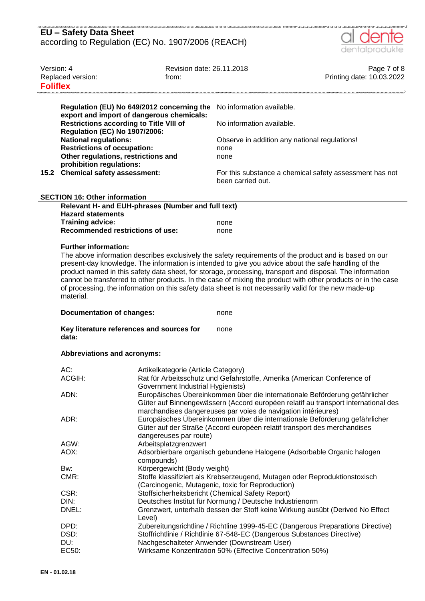

| Version: 4<br>Replaced version:<br><b>Foliflex</b> |                                                                                                                                                                                                                                                                                                                                                                                                                                   | Revision date: 26.11.2018<br>from:                                                                                                                                                                                       |                                                                                                                                                                  | Page 7 of 8<br>Printing date: 10.03.2022 |
|----------------------------------------------------|-----------------------------------------------------------------------------------------------------------------------------------------------------------------------------------------------------------------------------------------------------------------------------------------------------------------------------------------------------------------------------------------------------------------------------------|--------------------------------------------------------------------------------------------------------------------------------------------------------------------------------------------------------------------------|------------------------------------------------------------------------------------------------------------------------------------------------------------------|------------------------------------------|
|                                                    |                                                                                                                                                                                                                                                                                                                                                                                                                                   | Regulation (EU) No 649/2012 concerning the                                                                                                                                                                               | No information available.                                                                                                                                        |                                          |
|                                                    | export and import of dangerous chemicals:<br><b>Restrictions according to Title VIII of</b>                                                                                                                                                                                                                                                                                                                                       |                                                                                                                                                                                                                          | No information available.                                                                                                                                        |                                          |
|                                                    | <b>Regulation (EC) No 1907/2006:</b><br><b>National regulations:</b>                                                                                                                                                                                                                                                                                                                                                              |                                                                                                                                                                                                                          | Observe in addition any national regulations!                                                                                                                    |                                          |
|                                                    | <b>Restrictions of occupation:</b><br>Other regulations, restrictions and                                                                                                                                                                                                                                                                                                                                                         |                                                                                                                                                                                                                          | none<br>none                                                                                                                                                     |                                          |
| 15.2                                               | prohibition regulations:<br>Chemical safety assessment:                                                                                                                                                                                                                                                                                                                                                                           |                                                                                                                                                                                                                          | For this substance a chemical safety assessment has not<br>been carried out.                                                                                     |                                          |
|                                                    | <b>SECTION 16: Other information</b>                                                                                                                                                                                                                                                                                                                                                                                              |                                                                                                                                                                                                                          |                                                                                                                                                                  |                                          |
|                                                    |                                                                                                                                                                                                                                                                                                                                                                                                                                   | Relevant H- and EUH-phrases (Number and full text)                                                                                                                                                                       |                                                                                                                                                                  |                                          |
|                                                    | <b>Hazard statements</b><br><b>Training advice:</b>                                                                                                                                                                                                                                                                                                                                                                               |                                                                                                                                                                                                                          | none                                                                                                                                                             |                                          |
|                                                    | <b>Recommended restrictions of use:</b>                                                                                                                                                                                                                                                                                                                                                                                           |                                                                                                                                                                                                                          | none                                                                                                                                                             |                                          |
|                                                    | product named in this safety data sheet, for storage, processing, transport and disposal. The information<br>cannot be transferred to other products. In the case of mixing the product with other products or in the case<br>of processing, the information on this safety data sheet is not necessarily valid for the new made-up<br>material.<br><b>Documentation of changes:</b><br>Key literature references and sources for |                                                                                                                                                                                                                          | none<br>none                                                                                                                                                     |                                          |
|                                                    | data:                                                                                                                                                                                                                                                                                                                                                                                                                             |                                                                                                                                                                                                                          |                                                                                                                                                                  |                                          |
|                                                    | Abbreviations and acronyms:                                                                                                                                                                                                                                                                                                                                                                                                       |                                                                                                                                                                                                                          |                                                                                                                                                                  |                                          |
|                                                    | AC:<br>ACGIH:                                                                                                                                                                                                                                                                                                                                                                                                                     | Artikelkategorie (Article Category)<br>Rat für Arbeitsschutz und Gefahrstoffe, Amerika (American Conference of                                                                                                           |                                                                                                                                                                  |                                          |
|                                                    | ADN:                                                                                                                                                                                                                                                                                                                                                                                                                              | Government Industrial Hygienists)                                                                                                                                                                                        | Europäisches Übereinkommen über die internationale Beförderung gefährlicher<br>Güter auf Binnengewässern (Accord européen relatif au transport international des |                                          |
|                                                    | ADR:                                                                                                                                                                                                                                                                                                                                                                                                                              | marchandises dangereuses par voies de navigation intérieures)<br>Europäisches Übereinkommen über die internationale Beförderung gefährlicher<br>Güter auf der Straße (Accord européen relatif transport des merchandises |                                                                                                                                                                  |                                          |
|                                                    | AGW:                                                                                                                                                                                                                                                                                                                                                                                                                              | dangereuses par route)<br>Arbeitsplatzgrenzwert                                                                                                                                                                          |                                                                                                                                                                  |                                          |
|                                                    | AOX:                                                                                                                                                                                                                                                                                                                                                                                                                              |                                                                                                                                                                                                                          | Adsorbierbare organisch gebundene Halogene (Adsorbable Organic halogen                                                                                           |                                          |
|                                                    |                                                                                                                                                                                                                                                                                                                                                                                                                                   | compounds)<br>Körpergewicht (Body weight)                                                                                                                                                                                |                                                                                                                                                                  |                                          |
|                                                    | Bw:<br>CMR:                                                                                                                                                                                                                                                                                                                                                                                                                       |                                                                                                                                                                                                                          | Stoffe klassifiziert als Krebserzeugend, Mutagen oder Reproduktionstoxisch<br>(Carcinogenic, Mutagenic, toxic for Reproduction)                                  |                                          |
|                                                    | CSR:                                                                                                                                                                                                                                                                                                                                                                                                                              |                                                                                                                                                                                                                          | Stoffsicherheitsbericht (Chemical Safety Report)                                                                                                                 |                                          |
|                                                    | DIN:                                                                                                                                                                                                                                                                                                                                                                                                                              |                                                                                                                                                                                                                          | Deutsches Institut für Normung / Deutsche Industrienorm                                                                                                          |                                          |
|                                                    | DNEL:                                                                                                                                                                                                                                                                                                                                                                                                                             | Level)                                                                                                                                                                                                                   | Grenzwert, unterhalb dessen der Stoff keine Wirkung ausübt (Derived No Effect                                                                                    |                                          |